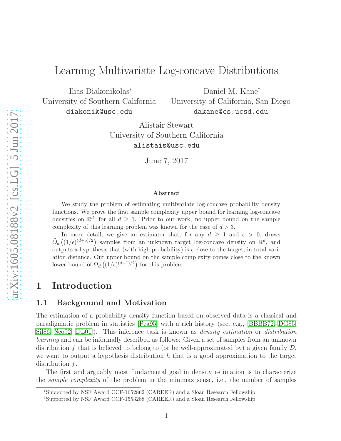# Learning Multivariate Log-concave Distributions

Ilias Diakonikolas<sup>∗</sup> University of Southern California diakonik@usc.edu

Daniel M. Kane† University of California, San Diego dakane@cs.ucsd.edu

Alistair Stewart University of Southern California alistais@usc.edu

June 7, 2017

#### Abstract

We study the problem of estimating multivariate log-concave probability density functions. We prove the first sample complexity upper bound for learning log-concave densities on  $\mathbb{R}^d$ , for all  $d \geq 1$ . Prior to our work, no upper bound on the sample complexity of this learning problem was known for the case of  $d > 3$ .

In more detail, we give an estimator that, for any  $d > 1$  and  $\epsilon > 0$ , draws  $\tilde{O}_d((1/\epsilon)^{(d+5)/2})$  samples from an unknown target log-concave density on  $\mathbb{R}^d$ , and outputs a hypothesis that (with high probability) is  $\epsilon$ -close to the target, in total variation distance. Our upper bound on the sample complexity comes close to the known lower bound of  $\Omega_d((1/\epsilon)^{(d+1)/2})$  for this problem.

### 1 Introduction

#### 1.1 Background and Motivation

The estimation of a probability density function based on observed data is a classical and paradigmatic problem in statistics [\[Pea95\]](#page-16-0) with a rich history (see, e.g., [\[BBBB72,](#page-13-0) [DG85,](#page-14-0) [Sil86,](#page-16-1) [Sco92,](#page-16-2) DL01). This inference task is known as *density estimation* or *distribution* learning and can be informally described as follows: Given a set of samples from an unknown distribution f that is believed to belong to (or be well-approximated by) a given family  $\mathcal{D}$ , we want to output a hypothesis distribution  $h$  that is a good approximation to the target distribution  $f$ .

The first and arguably most fundamental goal in density estimation is to characterize the sample complexity of the problem in the minimax sense, i.e., the number of samples

<sup>∗</sup>Supported by NSF Award CCF-1652862 (CAREER) and a Sloan Research Fellowship.

<sup>†</sup>Supported by NSF Award CCF-1553288 (CAREER) and a Sloan Research Fellowship.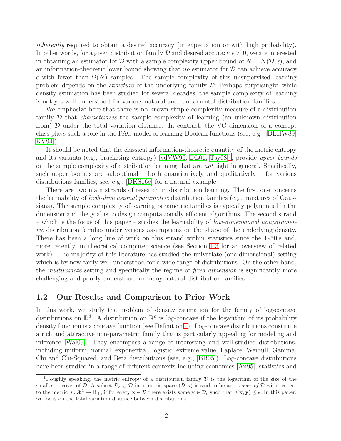inherently required to obtain a desired accuracy (in expectation or with high probability). In other words, for a given distribution family D and desired accuracy  $\epsilon > 0$ , we are interested in obtaining an estimator for D with a sample complexity upper bound of  $N = N(\mathcal{D}, \epsilon)$ , and an information-theoretic lower bound showing that no estimator for  $\mathcal D$  can achieve accuracy  $\epsilon$  with fewer than  $\Omega(N)$  samples. The sample complexity of this unsupervised learning problem depends on the *structure* of the underlying family  $D$ . Perhaps surprisingly, while density estimation has been studied for several decades, the sample complexity of learning is not yet well-understood for various natural and fundamental distribution families.

We emphasize here that there is no known simple complexity measure of a distribution family  $\mathcal D$  that *characterizes* the sample complexity of learning (an unknown distribution from)  $\mathcal D$  under the total variation distance. In contrast, the VC dimension of a concept class plays such a role in the PAC model of learning Boolean functions (see, e.g., [\[BEHW89,](#page-13-1) [KV94\]](#page-16-3)).

It should be noted that the classical information-theoretic quantity of the metric entropy and its variants (e.g., bracketing entropy) [\[vdVW96,](#page-17-0) [DL01,](#page-15-0) [Tsy08\]](#page-16-4)<sup>[1](#page-1-0)</sup>, provide upper bounds on the sample complexity of distribution learning that are *not* tight in general. Specifically, such upper bounds are suboptimal – both quantitatively and qualitatively – for various distributions families, see, e.g., [\[DKS16c\]](#page-15-1) for a natural example.

There are two main strands of research in distribution learning. The first one concerns the learnability of *high-dimensional parametric* distribution families (e.g., mixtures of Gaussians). The sample complexity of learning parametric families is typically polynomial in the dimension and the goal is to design computationally efficient algorithms. The second strand – which is the focus of this paper – studies the learnability of *low-dimensional nonparamet*ric distribution families under various assumptions on the shape of the underlying density. There has been a long line of work on this strand within statistics since the 1950's and, more recently, in theoretical computer science (see Section [1.3](#page-4-0) for an overview of related work). The majority of this literature has studied the univariate (one-dimensional) setting which is by now fairly well-understood for a wide range of distributions. On the other hand, the *multivariate* setting and specifically the regime of *fixed dimension* is significantly more challenging and poorly understood for many natural distribution families.

#### 1.2 Our Results and Comparison to Prior Work

In this work, we study the problem of density estimation for the family of log-concave distributions on  $\mathbb{R}^d$ . A distribution on  $\mathbb{R}^d$  is log-concave if the logarithm of its probability density function is a concave function (see Definition [1\)](#page-2-0). Log-concave distributions constitute a rich and attractive non-parametric family that is particularly appealing for modeling and inference [\[Wal09\]](#page-17-1). They encompass a range of interesting and well-studied distributions, including uniform, normal, exponential, logistic, extreme value, Laplace, Weibull, Gamma, Chi and Chi-Squared, and Beta distributions (see, e.g., [\[BB05\]](#page-13-2)). Log-concave distributions have been studied in a range of different contexts including economics [\[An95\]](#page-13-3), statistics and

<span id="page-1-0"></span><sup>&</sup>lt;sup>1</sup>Roughly speaking, the metric entropy of a distribution family  $\mathcal D$  is the logarithm of the size of the smallest  $\epsilon$ -cover of D. A subset  $\mathcal{D}_{\epsilon} \subseteq \mathcal{D}$  in a metric space  $(\mathcal{D}, d)$  is said to be an  $\epsilon$ -cover of D with respect to the metric  $d: \mathcal{X}^2 \to \mathbb{R}_+$ , if for every  $\mathbf{x} \in \mathcal{D}$  there exists some  $\mathbf{y} \in \mathcal{D}_{\epsilon}$  such that  $d(\mathbf{x}, \mathbf{y}) \leq \epsilon$ . In this paper, we focus on the total variation distance between distributions.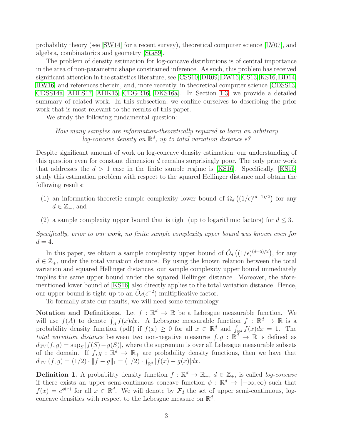probability theory (see [\[SW14\]](#page-16-5) for a recent survey), theoretical computer science [\[LV07\]](#page-16-6), and algebra, combinatorics and geometry [\[Sta89\]](#page-16-7).

The problem of density estimation for log-concave distributions is of central importance in the area of non-parametric shape constrained inference. As such, this problem has received significant attention in the statistics literature, see [\[CSS10,](#page-14-1) [DR09,](#page-15-2) [DW16,](#page-15-3) [CS13,](#page-14-2) [KS16,](#page-16-8) [BD14,](#page-13-4) [HW16\]](#page-16-9) and references therein, and, more recently, in theoretical computer science [\[CDSS13,](#page-14-3) [CDSS14a,](#page-14-4) [ADLS17,](#page-13-5) [ADK15,](#page-13-6) [CDGR16,](#page-14-5) [DKS16a\]](#page-14-6). In Section [1.3,](#page-4-0) we provide a detailed summary of related work. In this subsection, we confine ourselves to describing the prior work that is most relevant to the results of this paper.

We study the following fundamental question:

#### How many samples are information-theoretically required to learn an arbitrary log-concave density on  $\mathbb{R}^d$ , up to total variation distance  $\epsilon$ ?

Despite significant amount of work on log-concave density estimation, our understanding of this question even for constant dimension d remains surprisingly poor. The only prior work that addresses the  $d > 1$  case in the finite sample regime is [\[KS16\]](#page-16-8). Specifically, [KS16] study this estimation problem with respect to the squared Hellinger distance and obtain the following results:

- (1) an information-theoretic sample complexity lower bound of  $\Omega_d((1/\epsilon)^{(d+1)/2})$  for any  $d \in \mathbb{Z}_+$ , and
- (2) a sample complexity upper bound that is tight (up to logarithmic factors) for  $d \leq 3$ .

Specifically, prior to our work, no finite sample complexity upper bound was known even for  $d=4.$ 

In this paper, we obtain a sample complexity upper bound of  $\tilde{O}_d((1/\epsilon)^{(d+5)/2})$ , for any  $d \in \mathbb{Z}_+$ , under the total variation distance. By using the known relation between the total variation and squared Hellinger distances, our sample complexity upper bound immediately implies the same upper bound under the squared Hellinger distance. Moreover, the aforementioned lower bound of [\[KS16\]](#page-16-8) also directly applies to the total variation distance. Hence, our upper bound is tight up to an  $\tilde{O}_d(\epsilon^{-2})$  multiplicative factor.

To formally state our results, we will need some terminology.

Notation and Definitions. Let  $f : \mathbb{R}^d \to \mathbb{R}$  be a Lebesgue measurable function. We will use  $f(A)$  to denote  $\int_A f(x)dx$ . A Lebesgue measurable function  $f : \mathbb{R}^d \to \mathbb{R}$  is a probability density function (pdf) if  $f(x) \geq 0$  for all  $x \in \mathbb{R}^d$  and  $\int_{\mathbb{R}^d} f(x)dx = 1$ . The total variation distance between two non-negative measures  $f, g : \mathbb{R}^d \to \mathbb{R}$  is defined as  $d_{\text{TV}}(f,g) = \sup_S |f(S) - g(S)|$ , where the supremum is over all Lebesgue measurable subsets of the domain. If  $f, g : \mathbb{R}^d \to \mathbb{R}_+$  are probability density functions, then we have that  $d_{\text{TV}}(f,g) = (1/2) \cdot ||f - g||_1 = (1/2) \cdot \int_{\mathbb{R}^d} |f(x) - g(x)| dx.$ 

<span id="page-2-0"></span>**Definition 1.** A probability density function  $f : \mathbb{R}^d \to \mathbb{R}_+$ ,  $d \in \mathbb{Z}_+$ , is called *log-concave* if there exists an upper semi-continuous concave function  $\phi : \mathbb{R}^d \to [-\infty, \infty)$  such that  $f(x) = e^{\phi(x)}$  for all  $x \in \mathbb{R}^d$ . We will denote by  $\mathcal{F}_d$  the set of upper semi-continuous, logconcave densities with respect to the Lebesgue measure on  $\mathbb{R}^d$ .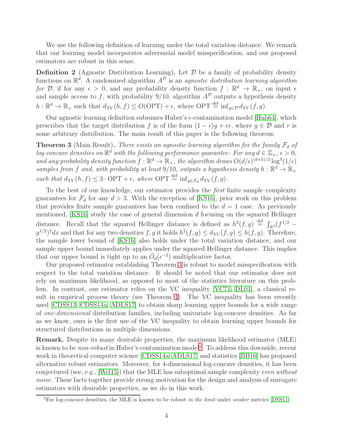We use the following definition of learning under the total variation distance. We remark that our learning model incorporates adversarial model misspecification, and our proposed estimators are robust in this sense.

**Definition 2** (Agnostic Distribution Learning). Let  $\mathcal{D}$  be a family of probability density functions on  $\mathbb{R}^d$ . A randomized algorithm  $A^{\mathcal{D}}$  is an agnostic distribution learning algorithm for D, if for any  $\epsilon > 0$ , and any probability density function  $f : \mathbb{R}^d \to \mathbb{R}_+$ , on input  $\epsilon$ and sample access to f, with probability  $9/10$ , algorithm  $A^{\mathcal{D}}$  outputs a hypothesis density  $h: \mathbb{R}^d \to \mathbb{R}_+$  such that  $d_{TV}(h, f) \leq O(\text{OPT}) + \epsilon$ , where  $\text{OPT} \stackrel{\text{def}}{=} \inf_{g \in \mathcal{D}} d_{TV}(f, g)$ .

Our agnostic learning definition subsumes Huber's  $\epsilon$ -contamination model [\[Hub64\]](#page-16-10), which prescribes that the target distribution f is of the form  $(1 - \epsilon)g + \epsilon r$ , where  $g \in \mathcal{D}$  and r is some arbitrary distribution. The main result of this paper is the following theorem:

<span id="page-3-0"></span>**Theorem 3** (Main Result). There exists an agnostic learning algorithm for the family  $\mathcal{F}_d$  of log-concave densities on  $\mathbb{R}^d$  with the following performance guarantee: For any  $d \in \mathbb{Z}_+$ ,  $\epsilon > 0$ , and any probability density function  $f : \mathbb{R}^d \to \mathbb{R}_+$ , the algorithm draws  $O(d/\epsilon)^{(d+5)/2} \log^2(1/\epsilon)$ samples from f and, with probability at least 9/10, outputs a hypothesis density  $h : \mathbb{R}^d \to \mathbb{R}_+$ such that  $d_{\text{TV}}(h, f) \leq 3 \cdot \text{OPT} + \epsilon$ , where  $\text{OPT} \stackrel{\text{def}}{=} \inf_{g \in \mathcal{F}_d} d_{\text{TV}}(f, g)$ .

To the best of our knowledge, our estimator provides the first finite sample complexity guarantees for  $\mathcal{F}_d$  for any  $d > 3$ . With the exception of [\[KS16\]](#page-16-8), prior work on this problem that provides finite sample guarantees has been confined to the  $d = 1$  case. As previously mentioned, [\[KS16\]](#page-16-8) study the case of general dimension d focusing on the squared Hellinger distance. Recall that the squared Hellinger distance is defined as  $h^2(f,g) \stackrel{\text{def}}{=} \int_{\mathbb{R}^d} (f^{1/2} - f(g)g) g(g) g(g)$  $g^{1/2}$ <sup>2</sup>dx and that for any two densities f, g it holds  $h^2(f,g) \leq d_{TV}(f,g) \leq h(f,g)$ . Therefore, the sample lower bound of [\[KS16\]](#page-16-8) also holds under the total variation distance, and our sample upper bound immediately applies under the squared Hellinger distance. This implies that our upper bound is tight up to an  $\tilde{O}_d(\epsilon^{-2})$  multiplicative factor.

Our proposed estimator establishing Theorem [3](#page-3-0) is robust to model misspecification with respect to the total variation distance. It should be noted that our estimator does not rely on maximum likelihood, as opposed to most of the statistics literature on this problem. In contrast, our estimator relies on the VC inequality [\[VC71,](#page-16-11) [DL01\]](#page-15-0), a classical result in empirical process theory (see Theorem [4\)](#page-5-0). The VC inequality has been recently used [\[CDSS13,](#page-14-3) [CDSS14a,](#page-14-4) [ADLS17\]](#page-13-5) to obtain sharp learning upper bounds for a wide range of one-dimensional distribution families, including univariate log-concave densities. As far as we know, ours is the first use of the VC inequality to obtain learning upper bounds for structured distributions in multiple dimensions.

Remark. Despite its many desirable properties, the maximum likelihood estimator (MLE) is known to be *non-robust* in Huber's contamination model<sup>[2](#page-3-1)</sup>. To address this downside, recent work in theoretical computer science [\[CDSS14a,](#page-14-4) [ADLS17\]](#page-13-5) and statistics [\[BB16\]](#page-13-7) has proposed alternative robust estimators. Moreover, for 4-dimensional log-concave densities, it has been conjectured (see, e.g., [\[Wel15\]](#page-17-2)) that the MLE has suboptimal sample complexity even without noise. These facts together provide strong motivation for the design and analysis of surrogate estimators with desirable properties, as we do in this work.

<span id="page-3-1"></span> ${}^{2}$ For log-concave densities, the MLE is known to be robust in the limit under weaker metrics [\[DSS11\]](#page-15-4).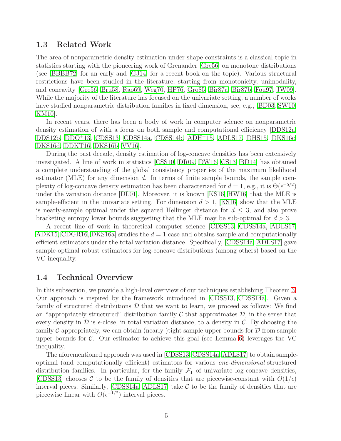#### <span id="page-4-0"></span>1.3 Related Work

The area of nonparametric density estimation under shape constraints is a classical topic in statistics starting with the pioneering work of Grenander [\[Gre56\]](#page-15-5) on monotone distributions (see [\[BBBB72\]](#page-13-0) for an early and [\[GJ14\]](#page-15-6) for a recent book on the topic). Various structural restrictions have been studied in the literature, starting from monotonicity, unimodality, and concavity [\[Gre56,](#page-15-5) [Bru58,](#page-13-8) [Rao69,](#page-16-12) [Weg70,](#page-17-3) [HP76,](#page-15-7) [Gro85,](#page-15-8) [Bir87a,](#page-13-9) [Bir87b,](#page-13-10) [Fou97,](#page-15-9) [JW09\]](#page-16-13). While the majority of the literature has focused on the univariate setting, a number of works have studied nonparametric distribution families in fixed dimension, see, e.g., [\[BD03,](#page-13-11) [SW10,](#page-16-14) [KM10\]](#page-16-15).

In recent years, there has been a body of work in computer science on nonparametric density estimation of with a focus on both sample and computational efficiency [\[DDS12a,](#page-14-7) [DDS12b,](#page-14-8) [DDO](#page-14-9)<sup>+</sup>13, [CDSS13,](#page-14-3) [CDSS14a,](#page-14-4) [CDSS14b,](#page-14-10) [ADH](#page-13-12)<sup>+</sup>15, [ADLS17,](#page-13-5) [DHS15,](#page-14-11) [DKS16c,](#page-15-1) [DKS16d,](#page-15-10) [DDKT16,](#page-14-12) [DKS16b,](#page-14-13) [VV16\]](#page-17-4).

During the past decade, density estimation of log-concave densities has been extensively investigated. A line of work in statistics [\[CSS10,](#page-14-1) [DR09,](#page-15-2) [DW16,](#page-15-3) [CS13,](#page-14-2) [BD14\]](#page-13-4) has obtained a complete understanding of the global consistency properties of the maximum likelihood estimator (MLE) for any dimension  $d$ . In terms of finite sample bounds, the sample complexity of log-concave density estimation has been characterized for  $d = 1$ , e.g., it is  $\Theta(\epsilon^{-5/2})$ under the variation distance [\[DL01\]](#page-15-0). Moreover, it is known [\[KS16,](#page-16-8) [HW16\]](#page-16-9) that the MLE is sample-efficient in the univariate setting. For dimension  $d > 1$ , [\[KS16\]](#page-16-8) show that the MLE is nearly-sample optimal under the squared Hellinger distance for  $d \leq 3$ , and also prove bracketing entropy lower bounds suggesting that the MLE may be sub-optimal for  $d > 3$ .

A recent line of work in theoretical computer science [\[CDSS13,](#page-14-3) [CDSS14a,](#page-14-4) [ADLS17,](#page-13-5) [ADK15,](#page-13-6) [CDGR16,](#page-14-5) DKS16a studies the  $d = 1$  case and obtains sample and computationally efficient estimators under the total variation distance. Specifically, [\[CDSS14a,](#page-14-4) [ADLS17\]](#page-13-5) gave sample-optimal robust estimators for log-concave distributions (among others) based on the VC inequality.

#### 1.4 Technical Overview

In this subsection, we provide a high-level overview of our techniques establishing Theorem [3.](#page-3-0) Our approach is inspired by the framework introduced in [\[CDSS13,](#page-14-3) [CDSS14a\]](#page-14-4). Given a family of structured distributions  $\mathcal D$  that we want to learn, we proceed as follows: We find an "appropriately structured" distribution family  $\mathcal C$  that approximates  $\mathcal D$ , in the sense that every density in  $\mathcal D$  is  $\epsilon$ -close, in total variation distance, to a density in C. By choosing the family C appropriately, we can obtain (nearly-)tight sample upper bounds for  $\mathcal D$  from sample upper bounds for  $\mathcal{C}$ . Our estimator to achieve this goal (see Lemma [6\)](#page-6-0) leverages the VC inequality.

The aforementioned approach was used in [\[CDSS13,](#page-14-3) [CDSS14a,](#page-14-4) [ADLS17\]](#page-13-5) to obtain sampleoptimal (and computationally efficient) estimators for various one-dimensional structured distribution families. In particular, for the family  $\mathcal{F}_1$  of univariate log-concave densities, [\[CDSS13\]](#page-14-3) chooses C to be the family of densities that are piecewise-constant with  $O(1/\epsilon)$ interval pieces. Similarly,  $[CDSS14a, ADLS17]$  $[CDSS14a, ADLS17]$  take C to be the family of densities that are piecewise linear with  $\tilde{O}(\epsilon^{-1/2})$  interval pieces.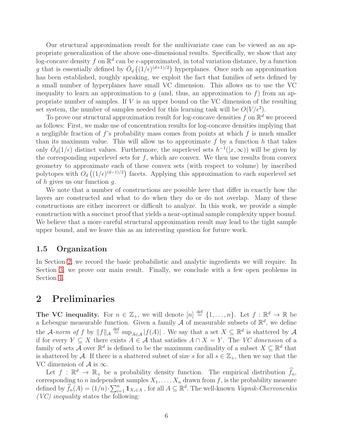Our structural approximation result for the multivariate case can be viewed as an appropriate generalization of the above one-dimensional results. Specifically, we show that any log-concave density f on  $\mathbb{R}^d$  can be  $\epsilon$ -approximated, in total variation distance, by a function g that is essentially defined by  $\tilde{O}_d((1/\epsilon)^{(d+1)/2})$  hyperplanes. Once such an approximation has been established, roughly speaking, we exploit the fact that families of sets defined by a small number of hyperplanes have small VC dimension. This allows us to use the VC inequality to learn an approximation to q (and, thus, an approximation to f) from an appropriate number of samples. If V is an upper bound on the VC dimension of the resulting set system, the number of samples needed for this learning task will be  $O(V/\epsilon^2)$ .

To prove our structural approximation result for log-concave densities f on  $\mathbb{R}^d$  we proceed as follows: First, we make use of concentration results for log-concave densities implying that a negligible fraction of  $f$ 's probability mass comes from points at which  $f$  is much smaller than its maximum value. This will allow us to approximate  $f$  by a function  $h$  that takes only  $\tilde{O}_d(1/\epsilon)$  distinct values. Furthermore, the superlevel sets  $h^{-1}([x,\infty))$  will be given by the corresponding superlevel sets for  $f$ , which are convex. We then use results from convex geometry to approximate each of these convex sets (with respect to volume) by inscribed polytopes with  $O_d((1/\epsilon)^{(d-1)/2})$  facets. Applying this approximation to each superlevel set of h gives us our function  $q$ .

We note that a number of constructions are possible here that differ in exactly how the layers are constructed and what to do when they do or do not overlap. Many of these constructions are either incorrect or difficult to analyze. In this work, we provide a simple construction with a succinct proof that yields a near-optimal sample complexity upper bound. We believe that a more careful structural approximation result may lead to the tight sample upper bound, and we leave this as an interesting question for future work.

#### 1.5 Organization

In Section [2,](#page-5-1) we record the basic probabilistic and analytic ingredients we will require. In Section [3,](#page-6-1) we prove our main result. Finally, we conclude with a few open problems in Section [4.](#page-12-0)

### <span id="page-5-1"></span>2 Preliminaries

The VC inequality. For  $n \in \mathbb{Z}_+$ , we will denote  $[n] \stackrel{\text{def}}{=} \{1, \ldots, n\}$ . Let  $f : \mathbb{R}^d \to \mathbb{R}$  be a Lebesgue measurable function. Given a family  $\mathcal A$  of measurable subsets of  $\mathbb R^d$ , we define the A-norm of f by  $||f||_{\mathcal{A}} \stackrel{\text{def}}{=} \sup_{A \in \mathcal{A}} |f(A)|$ . We say that a set  $X \subseteq \mathbb{R}^d$  is shattered by A if for every  $Y \subseteq X$  there exists  $A \in \mathcal{A}$  that satisfies  $A \cap X = Y$ . The VC dimension of a family of sets A over  $\mathbb{R}^d$  is defined to be the maximum cardinality of a subset  $X \subseteq \mathbb{R}^d$  that is shattered by A. If there is a shattered subset of size s for all  $s \in \mathbb{Z}_+$ , then we say that the VC dimension of  $\mathcal A$  is  $\infty$ .

<span id="page-5-0"></span>Let  $f : \mathbb{R}^d \to \mathbb{R}_+$  be a probability density function. The empirical distribution  $\widehat{f}_n$ , corresponding to n independent samples  $X_1, \ldots, X_n$  drawn from f, is the probability measure defined by  $\widehat{f}_n(A) = (1/n) \cdot \sum_{i=1}^n \mathbf{1}_{X_i \in A}$ , for all  $A \subseteq \mathbb{R}^d$ . The well-known *Vapnik-Chervonenkis*  $(VC)$  inequality states the following: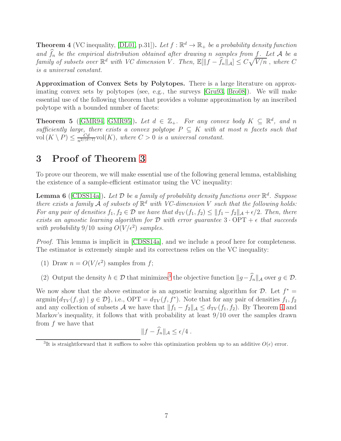**Theorem 4** (VC inequality, [\[DL01,](#page-15-0) p.31]). Let  $f : \mathbb{R}^d \to \mathbb{R}_+$  be a probability density function and  $\widehat{f}_n$  be the empirical distribution obtained after drawing n samples from f. Let A be a family of subsets over  $\mathbb{R}^d$  with VC dimension V. Then,  $\mathbb{E}[\|f - \hat{f}_n\|_{\mathcal{A}}] \leq C\sqrt{V/n}$ , where C is a universal constant.

Approximation of Convex Sets by Polytopes. There is a large literature on approximating convex sets by polytopes (see, e.g., the surveys [\[Gru93,](#page-15-11) [Bro08\]](#page-13-13)). We will make essential use of the following theorem that provides a volume approximation by an inscribed polytope with a bounded number of facets:

<span id="page-6-3"></span>**Theorem 5** ([\[GMR94,](#page-15-12) [GMR95\]](#page-15-13)). Let  $d \in \mathbb{Z}_+$ . For any convex body  $K \subseteq \mathbb{R}^d$ , and n sufficiently large, there exists a convex polytope  $P \subseteq K$  with at most n facets such that vol  $(K \setminus P) \leq \frac{Cd}{n^{2/(d-1)}} \text{vol}(K)$ , where  $C > 0$  is a universal constant.

# <span id="page-6-1"></span>3 Proof of Theorem [3](#page-3-0)

<span id="page-6-0"></span>To prove our theorem, we will make essential use of the following general lemma, establishing the existence of a sample-efficient estimator using the VC inequality:

**Lemma 6** ([\[CDSS14a\]](#page-14-4)). Let  $\mathcal D$  be a family of probability density functions over  $\mathbb R^d$ . Suppose there exists a family  $\tilde{A}$  of subsets of  $\mathbb{R}^d$  with VC-dimension V such that the following holds: For any pair of densities  $f_1, f_2 \in \mathcal{D}$  we have that  $d_{TV}(f_1, f_2) \leq ||f_1 - f_2||_{\mathcal{A}} + \epsilon/2$ . Then, there exists an agnostic learning algorithm for  $D$  with error guarantee  $3 \cdot OPT + \epsilon$  that succeeds with probability 9/10 using  $O(V/\epsilon^2)$  samples.

Proof. This lemma is implicit in [\[CDSS14a\]](#page-14-4), and we include a proof here for completeness. The estimator is extremely simple and its correctness relies on the VC inequality:

- (1) Draw  $n = O(V/\epsilon^2)$  samples from f;
- (2) Output the density  $h \in \mathcal{D}$  that minimizes<sup>[3](#page-6-2)</sup> the objective function  $||g f_n||_{\mathcal{A}}$  over  $g \in \mathcal{D}$ .

We now show that the above estimator is an agnostic learning algorithm for  $\mathcal{D}$ . Let  $f^* =$  $\operatorname{argmin}\{d_{TV}(f,g) \mid g \in \mathcal{D}\}\,$ , i.e.,  $\text{OPT} = d_{TV}(f, f^*)$ . Note that for any pair of densities  $f_1, f_2$ and any collection of subsets A we have that  $||f_1 - f_2||_A \le d_{TV}(f_1, f_2)$ . By Theorem [4](#page-5-0) and Markov's inequality, it follows that with probability at least 9/10 over the samples drawn from f we have that

$$
||f - \widehat{f}_n||_{\mathcal{A}} \le \epsilon/4.
$$

<span id="page-6-2"></span><sup>&</sup>lt;sup>3</sup>It is straightforward that it suffices to solve this optimization problem up to an additive  $O(\epsilon)$  error.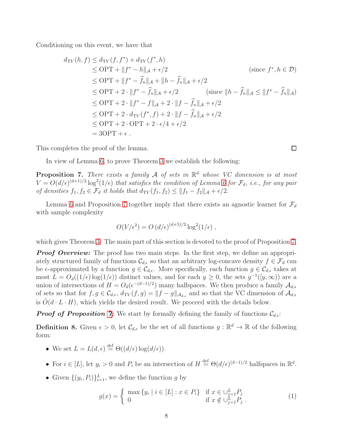Conditioning on this event, we have that

$$
d_{\text{TV}}(h, f) \leq d_{\text{TV}}(f, f^*) + d_{\text{TV}}(f^*, h)
$$
  
\n
$$
\leq \text{OPT} + ||f^* - h||_{\mathcal{A}} + \epsilon/2 \qquad \text{(since } f^*, h \in \mathcal{D})
$$
  
\n
$$
\leq \text{OPT} + ||f^* - \hat{f}_n||_{\mathcal{A}} + ||h - \hat{f}_n||_{\mathcal{A}} + \epsilon/2
$$
  
\n
$$
\leq \text{OPT} + 2 \cdot ||f^* - \hat{f}_n||_{\mathcal{A}} + \epsilon/2 \qquad \text{(since } ||h - \hat{f}_n||_{\mathcal{A}} \leq ||f^* - \hat{f}_n||_{\mathcal{A}})
$$
  
\n
$$
\leq \text{OPT} + 2 \cdot ||f^* - f||_{\mathcal{A}} + 2 \cdot ||f - \hat{f}_n||_{\mathcal{A}} + \epsilon/2
$$
  
\n
$$
\leq \text{OPT} + 2 \cdot d_{\text{TV}}(f^*, f) + 2 \cdot ||f - \hat{f}_n||_{\mathcal{A}} + \epsilon/2
$$
  
\n
$$
\leq \text{OPT} + 2 \cdot \text{OPT} + 2 \cdot \epsilon/4 + \epsilon/2
$$
  
\n
$$
= 3\text{OPT} + \epsilon.
$$

This completes the proof of the lemma.

<span id="page-7-0"></span>In view of Lemma [6,](#page-6-0) to prove Theorem [3](#page-3-0) we establish the following:

**Proposition 7.** There exists a family  $\mathcal A$  of sets in  $\mathbb R^d$  whose VC dimension is at most  $V = O(d/\epsilon)^{(d+1)/2} \log^2(1/\epsilon)$  that satisfies the condition of Lemma [6](#page-6-0) for  $\mathcal{F}_d$ , i.e., for any pair of densities  $f_1, f_2 \in \mathcal{F}_d$  it holds that  $d_{\text{TV}}(f_1, f_2) \leq ||f_1 - f_2||_{\mathcal{A}} + \epsilon/2$ .

Lemma [6](#page-6-0) and Proposition [7](#page-7-0) together imply that there exists an agnostic learner for  $\mathcal{F}_d$ with sample complexity

$$
O(V/\epsilon^2) = O\left(d/\epsilon\right)^{(d+5)/2} \log^2(1/\epsilon) ,
$$

which gives Theorem [3.](#page-3-0) The main part of this section is devoted to the proof of Proposition [7.](#page-7-0)

**Proof Overview:** The proof has two main steps. In the first step, we define an appropriately structured family of functions  $\mathcal{C}_{d,\epsilon}$  so that an arbitrary log-concave density  $f \in \mathcal{F}_d$  can be  $\epsilon$ -approximated by a function  $g \in \mathcal{C}_{d,\epsilon}$ . More specifically, each function  $g \in \mathcal{C}_{d,\epsilon}$  takes at most  $L = O_d((1/\epsilon) \log(1/\epsilon))$  distinct values, and for each  $y \ge 0$ , the sets  $g^{-1}([y,\infty))$  are a union of intersections of  $H = O_d(\epsilon^{-(d-1)/2})$  many halfspaces. We then produce a family  $\mathcal{A}_{d,\epsilon}$ of sets so that for  $f, g \in \mathcal{C}_{d,\epsilon}, d_{TV}(f,g) = ||f-g||_{\mathcal{A}_{d,\epsilon}}$  and so that the VC dimension of  $\mathcal{A}_{d,\epsilon}$ is  $O(d \cdot L \cdot H)$ , which yields the desired result. We proceed with the details below.

**Proof of Proposition [7:](#page-7-0)** We start by formally defining the family of functions  $\mathcal{C}_{d,\epsilon}$ :

**Definition 8.** Given  $\epsilon > 0$ , let  $\mathcal{C}_{d,\epsilon}$  be the set of all functions  $g : \mathbb{R}^d \to \mathbb{R}$  of the following form:

- We set  $L = L(d, \epsilon) \stackrel{\text{def}}{=} \Theta((d/\epsilon) \log(d/\epsilon)).$
- For  $i \in [L]$ , let  $y_i > 0$  and  $P_i$  be an intersection of  $H \stackrel{\text{def}}{=} \Theta(d/\epsilon)^{(d-1)/2}$  halfspaces in  $\mathbb{R}^d$ .
- Given  $\{(y_i, P_i)\}_{i=1}^L$ , we define the function g by

<span id="page-7-1"></span>
$$
g(x) = \begin{cases} \max \{ y_i \mid i \in [L] : x \in P_i \} & \text{if } x \in \bigcup_{j=1}^L P_j \\ 0 & \text{if } x \notin \bigcup_{j=1}^L P_j \end{cases}
$$
 (1)

 $\Box$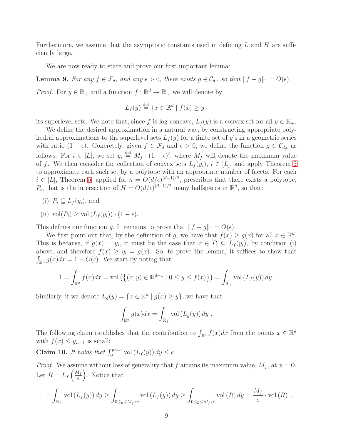Furthermore, we assume that the asymptotic constants used in defining  $L$  and  $H$  are sufficiently large.

<span id="page-8-1"></span>We are now ready to state and prove our first important lemma:

**Lemma 9.** For any  $f \in \mathcal{F}_d$ , and any  $\epsilon > 0$ , there exists  $g \in \mathcal{C}_{d,\epsilon}$  so that  $||f - g||_1 = O(\epsilon)$ .

*Proof.* For  $y \in \mathbb{R}_+$  and a function  $f : \mathbb{R}^d \to \mathbb{R}_+$  we will denote by

$$
L_f(y) \stackrel{\text{def}}{=} \{ x \in \mathbb{R}^d \mid f(x) \ge y \}
$$

its superlevel sets. We note that, since f is log-concave,  $L_f(y)$  is a convex set for all  $y \in \mathbb{R}_+$ .

We define the desired approximation in a natural way, by constructing appropriate polyhedral approximations to the superlevel sets  $L_f(y)$  for a finite set of y's in a geometric series with ratio  $(1 + \epsilon)$ . Concretely, given  $f \in \mathcal{F}_d$  and  $\epsilon > 0$ , we define the function  $g \in \mathcal{C}_{d,\epsilon}$  as follows: For  $i \in [L]$ , we set  $y_i \stackrel{\text{def}}{=} M_f \cdot (1 - \epsilon)^i$ , where  $M_f$  will denote the maximum value of f. We then consider the collection of convex sets  $L_f(y_i)$ ,  $i \in [L]$ , and apply Theorem [5](#page-6-3) to approximate each such set by a polytope with an appropriate number of facets. For each  $i \in [L]$ , Theorem [5,](#page-6-3) applied for  $n = O(d/\epsilon)^{(d-1)/2}$ , prescribes that there exists a polytope, P<sub>i</sub>, that is the intersection of  $H = O(d/\epsilon)^{(d-1)/2}$  many halfspaces in  $\mathbb{R}^d$ , so that:

- (i)  $P_i \subseteq L_f(y_i)$ , and
- (ii)  $\operatorname{vol}(P_i) \ge \operatorname{vol}(L_f(y_i)) \cdot (1 \epsilon).$

This defines our function g. It remains to prove that  $||f - g||_1 = O(\epsilon)$ .

We first point out that, by the definition of g, we have that  $f(x) \ge g(x)$  for all  $x \in \mathbb{R}^d$ . This is because, if  $g(x) = y_i$ , it must be the case that  $x \in P_i \subseteq L_f(y_i)$ , by condition (i) above, and therefore  $f(x) \ge y_i = g(x)$ . So, to prove the lemma, it suffices to show that  $\int_{\mathbb{R}^d} g(x)dx = 1 - O(\epsilon)$ . We start by noting that

$$
1 = \int_{\mathbb{R}^d} f(x) dx = \text{vol}\left(\left\{(x, y) \in \mathbb{R}^{d+1} \mid 0 \le y \le f(x)\right\}\right) = \int_{\mathbb{R}_+} \text{vol}\left(L_f(y)\right) dy.
$$

Similarly, if we denote  $L_g(y) = \{x \in \mathbb{R}^d \mid g(x) \ge y\}$ , we have that

$$
\int_{\mathbb{R}^d} g(x)dx = \int_{\mathbb{R}_+} \text{vol} (L_g(y)) dy.
$$

The following claim establishes that the contribution to  $\int_{\mathbb{R}^d} f(x)dx$  from the points  $x \in \mathbb{R}^d$ with  $f(x) \leq y_{L-1}$  is small:

<span id="page-8-0"></span>Claim 10. It holds that  $\int_0^{y_{L-1}}$  vol  $(L_f(y)) dy \leq \epsilon$ .

*Proof.* We assume without loss of generality that f attains its maximum value,  $M_f$ , at  $x = 0$ . Let  $R = L_f \left(\frac{M_f}{e}\right)$ e . Notice that

$$
1 = \int_{\mathbb{R}_+} \text{vol}(L_f(y)) dy \ge \int_{0 \le y \le M_f/e} \text{vol}(L_f(y)) dy \ge \int_{0 \le y \le M_f/e} \text{vol}(R) dy = \frac{M_f}{e} \cdot \text{vol}(R) ,
$$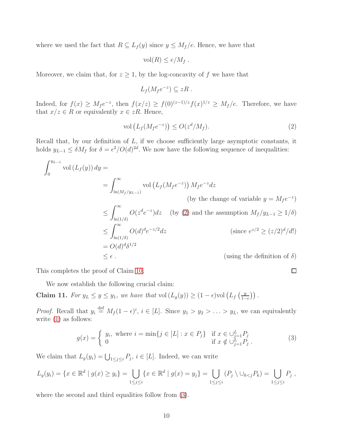where we used the fact that  $R \subseteq L_f(y)$  since  $y \leq M_f/e$ . Hence, we have that

 $vol(R) \leq e/M_f$ .

Moreover, we claim that, for  $z \geq 1$ , by the log-concavity of f we have that

$$
L_f(M_f e^{-z}) \subseteq zR .
$$

Indeed, for  $f(x) \geq M_f e^{-z}$ , then  $f(x/z) \geq f(0)^{(z-1)/z} f(x)^{1/z} \geq M_f/e$ . Therefore, we have that  $x/z \in R$  or equivalently  $x \in zR$ . Hence,

<span id="page-9-0"></span>
$$
\text{vol}\left(L_f(M_f e^{-z})\right) \le O(z^d/M_f). \tag{2}
$$

Recall that, by our definition of  $L$ , if we choose sufficiently large asymptotic constants, it holds  $y_{L-1} \leq \delta M_f$  for  $\delta = \epsilon^2 / O(d)^{2d}$ . We now have the following sequence of inequalities:

$$
\int_0^{y_{L-1}} \text{vol}(L_f(y)) \, dy =
$$
\n
$$
= \int_{\ln(M_f/y_{L-1})}^{\infty} \text{vol}(L_f(M_f e^{-z})) \, M_f e^{-z} dz
$$
\n(by the change of variable  $y = M_f e^{-z}$ )\n
$$
\leq \int_{\ln(1/\delta)}^{\infty} O(z^d e^{-z}) dz \quad \text{(by (2) and the assumption } M_f/y_{L-1} \geq 1/\delta)
$$
\n
$$
\leq \int_{\ln(1/\delta)}^{\infty} O(d)^d e^{-z/2} dz \quad \text{(since } e^{z/2} \geq (z/2)^d/d!)
$$
\n
$$
= O(d)^d \delta^{1/2} \quad \text{(using the definition of } \delta)
$$

This completes the proof of Claim [10.](#page-8-0)

<span id="page-9-2"></span>We now establish the following crucial claim:

Claim 11. For  $y_L \leq y \leq y_1$ , we have that vol $(L_g(y)) \geq (1 - \epsilon)$ vol  $(L_f\left(\frac{y_1}{1 - \epsilon}\right))$  $\frac{y}{1-\epsilon}\big)\big)$ .

*Proof.* Recall that  $y_i \stackrel{\text{def}}{=} M_f (1 - \epsilon)^i$ ,  $i \in [L]$ . Since  $y_1 > y_2 > \ldots > y_L$ , we can equivalently write [\(1\)](#page-7-1) as follows:

<span id="page-9-1"></span>
$$
g(x) = \begin{cases} y_i, & \text{where } i = \min\{j \in [L] : x \in P_j\} & \text{if } x \in \bigcup_{j=1}^L P_j \\ 0 & \text{if } x \notin \bigcup_{j=1}^L P_j \end{cases}
$$
(3)

We claim that  $L_g(y_i) = \bigcup_{1 \leq j \leq i} P_j$ ,  $i \in [L]$ . Indeed, we can write

$$
L_g(y_i) = \{ x \in \mathbb{R}^d \mid g(x) \ge y_i \} = \bigcup_{1 \le j \le i} \{ x \in \mathbb{R}^d \mid g(x) = y_j \} = \bigcup_{1 \le j \le i} (P_j \setminus \bigcup_{k < j} P_k) = \bigcup_{1 \le j \le i} P_j \, ,
$$

where the second and third equalities follow from [\(3\)](#page-9-1).

 $\Box$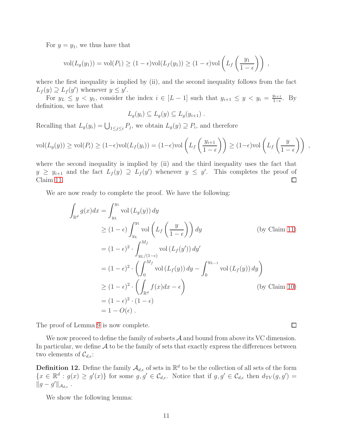For  $y = y_1$ , we thus have that

$$
\text{vol}(L_g(y_1)) = \text{vol}(P_1) \ge (1 - \epsilon)\text{vol}(L_f(y_1)) \ge (1 - \epsilon)\text{vol}\left(L_f\left(\frac{y_1}{1 - \epsilon}\right)\right) ,
$$

where the first inequality is implied by (ii), and the second inequality follows from the fact  $L_f(y) \supseteq L_f(y')$  whenever  $y \leq y'$ .

For  $y_L \leq y \leq y_1$ , consider the index  $i \in [L-1]$  such that  $y_{i+1} \leq y \leq y_i = \frac{y_{i+1}}{1-\epsilon}$  $\frac{y_{i+1}}{1-\epsilon}$ . By definition, we have that

$$
L_g(y_i) \subseteq L_g(y) \subseteq L_g(y_{i+1}) .
$$

Recalling that  $L_g(y_i) = \bigcup_{1 \leq j \leq i} P_j$ , we obtain  $L_g(y) \supseteq P_i$ , and therefore

$$
\text{vol}(L_g(y)) \ge \text{vol}(P_i) \ge (1-\epsilon)\text{vol}(L_f(y_i)) = (1-\epsilon)\text{vol}\left(L_f\left(\frac{y_{i+1}}{1-\epsilon}\right)\right) \ge (1-\epsilon)\text{vol}\left(L_f\left(\frac{y}{1-\epsilon}\right)\right) ,
$$

where the second inequality is implied by (ii) and the third inequality uses the fact that  $y \geq y_{i+1}$  and the fact  $L_f(y) \supseteq L_f(y')$  whenever  $y \leq y'$ . This completes the proof of Claim [11.](#page-9-2)  $\Box$ 

We are now ready to complete the proof. We have the following:

$$
\int_{\mathbb{R}^d} g(x)dx = \int_{y_L}^{y_1} \text{vol}(L_g(y)) dy
$$
\n
$$
\geq (1 - \epsilon) \int_{y_L}^{y_1} \text{vol}\left(L_f\left(\frac{y}{1 - \epsilon}\right)\right) dy \qquad \text{(by Claim 11)}
$$
\n
$$
= (1 - \epsilon)^2 \cdot \int_{y_L/(1 - \epsilon)}^{M_f} \text{vol}(L_f(y')) dy'
$$
\n
$$
= (1 - \epsilon)^2 \cdot \left(\int_0^{M_f} \text{vol}(L_f(y)) dy - \int_0^{y_{L-1}} \text{vol}(L_f(y)) dy\right)
$$
\n
$$
\geq (1 - \epsilon)^2 \cdot \left(\int_{\mathbb{R}^d} f(x) dx - \epsilon\right) \qquad \text{(by Claim 10)}
$$
\n
$$
= (1 - \epsilon)^2 \cdot (1 - \epsilon)
$$
\n
$$
= 1 - O(\epsilon).
$$

The proof of Lemma [9](#page-8-1) is now complete.

We now proceed to define the family of subsets  $A$  and bound from above its VC dimension. In particular, we define  $A$  to be the family of sets that exactly express the differences between two elements of  $\mathcal{C}_{d,\epsilon}$ :

**Definition 12.** Define the family  $\mathcal{A}_{d,\epsilon}$  of sets in  $\mathbb{R}^d$  to be the collection of all sets of the form  $\{x \in \mathbb{R}^d : g(x) \ge g'(x)\}\$ for some  $g, g' \in \mathcal{C}_{d,\epsilon}$ . Notice that if  $g, g' \in \mathcal{C}_{d,\epsilon}$  then  $d_{TV}(g, g') =$  $||g - g'||_{\mathcal{A}_{d,\epsilon}}$ .

<span id="page-10-0"></span>We show the following lemma:

 $\Box$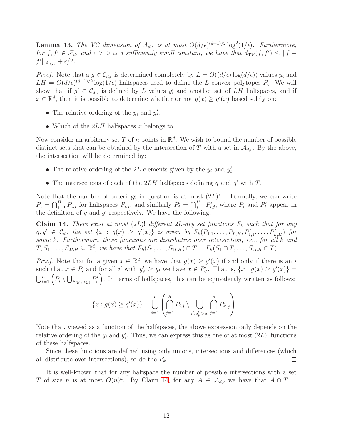**Lemma 13.** The VC dimension of  $\mathcal{A}_{d,\epsilon}$  is at most  $O(d/\epsilon)^{(d+1)/2} \log^2(1/\epsilon)$ . Furthermore, for  $f, f' \in \mathcal{F}_d$ , and  $c > 0$  is a sufficiently small constant, we have that  $d_{\text{TV}}(f, f') \leq ||f - f||$  $f'\|_{\mathcal{A}_{d,c\epsilon}} + \epsilon/2.$ 

*Proof.* Note that a  $g \in \mathcal{C}_{d,\epsilon}$  is determined completely by  $L = O((d/\epsilon) \log(d/\epsilon))$  values  $y_i$  and  $LH = O(d/\epsilon)^{(d+1)/2} \log(1/\epsilon)$  halfspaces used to define the L convex polytopes  $P_i$ . We will show that if  $g' \in \mathcal{C}_{d,\epsilon}$  is defined by L values  $y'_i$  and another set of LH halfspaces, and if  $x \in \mathbb{R}^d$ , then it is possible to determine whether or not  $g(x) \ge g'(x)$  based solely on:

- The relative ordering of the  $y_i$  and  $y'_i$ .
- Which of the  $2LH$  halfspaces x belongs to.

Now consider an arbitrary set T of n points in  $\mathbb{R}^d$ . We wish to bound the number of possible distinct sets that can be obtained by the intersection of T with a set in  $\mathcal{A}_{d,\epsilon}$ . By the above, the intersection will be determined by:

- The relative ordering of the 2L elements given by the  $y_i$  and  $y'_i$ .
- The intersections of each of the  $2LH$  halfspaces defining g and g' with T.

Note that the number of orderings in question is at most  $(2L)!$ . Formally, we can write  $P_i = \bigcap_{j=1}^H P_{i,j}$  for halfspaces  $P_{i,j}$ , and similarly  $P'_i = \bigcap_{j=1}^H P'_{i,j}$ , where  $P_i$  and  $P'_i$  appear in the definition of  $g$  and  $g'$  respectively. We have the following:

<span id="page-11-0"></span>Claim 14. There exist at most (2L)! different 2L-ary set functions  $F_k$  such that for any  $g, g' \in \mathcal{C}_{d,\epsilon}$  the set  $\{x : g(x) \geq g'(x)\}\$ is given by  $F_k(P_{1,1}, \ldots, P_{L,H}, P'_{1,1}, \ldots, P'_{L,H})$  for some k. Furthermore, these functions are distributive over intersection, i.e., for all k and  $T, S_1, \ldots, S_{2LH} \subseteq \mathbb{R}^d$ , we have that  $F_k(S_1, \ldots, S_{2LH}) \cap T = F_k(S_1 \cap T, \ldots, S_{2LH} \cap T)$ .

*Proof.* Note that for a given  $x \in \mathbb{R}^d$ , we have that  $g(x) \ge g'(x)$  if and only if there is an i such that  $x \in P_i$  and for all i' with  $y'_{i'} \ge y_i$  we have  $x \notin P'_{i'}$ . That is,  $\{x : g(x) \ge g'(x)\}$  $\bigcup_{i=1}^L \Big( P_i \setminus \bigcup_{i':y'_{i'} > y_i} P'_i$  $\left( \begin{array}{c} \mathbf{y} \\ \mathbf{z} \end{array} \right)$ . In terms of halfspaces, this can be equivalently written as follows:

$$
\{x : g(x) \ge g'(x)\} = \bigcup_{i=1}^{L} \left( \bigcap_{j=1}^{H} P_{i,j} \setminus \bigcup_{i': y'_{i'} > y_{i}} \bigcap_{j=1}^{H} P'_{i',j} \right).
$$

Note that, viewed as a function of the halfspaces, the above expression only depends on the relative ordering of the  $y_i$  and  $y'_i$ . Thus, we can express this as one of at most  $(2L)!$  functions of these halfspaces.

Since these functions are defined using only unions, intersections and differences (which all distribute over intersections), so do the  $F_k$ .  $\Box$ 

It is well-known that for any halfspace the number of possible intersections with a set T of size n is at most  $O(n)^d$ . By Claim [14,](#page-11-0) for any  $A \in \mathcal{A}_{d,\epsilon}$  we have that  $A \cap T =$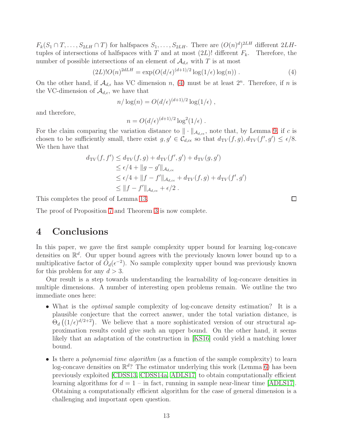$F_k(S_1 \cap T, \ldots, S_{2LH} \cap T)$  for halfspaces  $S_1, \ldots, S_{2LH}$ . There are  $(O(n)^d)^{2LH}$  different  $2LH$ tuples of intersections of halfspaces with T and at most  $(2L)!$  different  $F_k$ . Therefore, the number of possible intersections of an element of  $\mathcal{A}_{d,\epsilon}$  with T is at most

<span id="page-12-1"></span>
$$
(2L)!O(n)^{2dLH} = \exp(O(d/\epsilon)^{(d+1)/2}\log(1/\epsilon)\log(n)). \tag{4}
$$

 $\Box$ 

On the other hand, if  $\mathcal{A}_{d,\epsilon}$  has VC dimension n, [\(4\)](#page-12-1) must be at least  $2^n$ . Therefore, if n is the VC-dimension of  $\mathcal{A}_{d,\epsilon}$ , we have that

$$
n/\log(n) = O(d/\epsilon)^{(d+1)/2} \log(1/\epsilon) ,
$$

and therefore,

$$
n = O(d/\epsilon)^{(d+1)/2} \log^2(1/\epsilon) .
$$

For the claim comparing the variation distance to  $\|\cdot\|_{\mathcal{A}_{d,ce}}$ , note that, by Lemma [9,](#page-8-1) if c is chosen to be sufficiently small, there exist  $g, g' \in \mathcal{C}_{d,ce}$  so that  $d_{TV}(f,g), d_{TV}(f',g') \leq \epsilon/8$ . We then have that

$$
d_{\text{TV}}(f, f') \leq d_{\text{TV}}(f, g) + d_{\text{TV}}(f', g') + d_{\text{TV}}(g, g')
$$
  
\n
$$
\leq \epsilon/4 + ||g - g'||_{\mathcal{A}_{d,ce}}
$$
  
\n
$$
\leq \epsilon/4 + ||f - f'||_{\mathcal{A}_{d,ce}} + d_{\text{TV}}(f, g) + d_{\text{TV}}(f', g')
$$
  
\n
$$
\leq ||f - f'||_{\mathcal{A}_{d,ce}} + \epsilon/2.
$$

This completes the proof of Lemma [13.](#page-10-0)

<span id="page-12-0"></span>The proof of Proposition [7](#page-7-0) and Theorem [3](#page-3-0) is now complete.

# 4 Conclusions

In this paper, we gave the first sample complexity upper bound for learning log-concave densities on  $\mathbb{R}^d$ . Our upper bound agrees with the previously known lower bound up to a multiplicative factor of  $\tilde{O}_d(\epsilon^{-2})$ . No sample complexity upper bound was previously known for this problem for any  $d > 3$ .

Our result is a step towards understanding the learnability of log-concave densities in multiple dimensions. A number of interesting open problems remain. We outline the two immediate ones here:

- What is the *optimal* sample complexity of log-concave density estimation? It is a plausible conjecture that the correct answer, under the total variation distance, is  $\Theta_d((1/\epsilon)^{d/2+2})$ . We believe that a more sophisticated version of our structural approximation results could give such an upper bound. On the other hand, it seems likely that an adaptation of the construction in [\[KS16\]](#page-16-8) could yield a matching lower bound.
- Is there a *polynomial time algorithm* (as a function of the sample complexity) to learn log-concave densities on  $\mathbb{R}^d$ ? The estimator underlying this work (Lemma [6\)](#page-6-0) has been previously exploited [\[CDSS13,](#page-14-3) [CDSS14a,](#page-14-4) [ADLS17\]](#page-13-5) to obtain computationally efficient learning algorithms for  $d = 1$  – in fact, running in sample near-linear time [\[ADLS17\]](#page-13-5). Obtaining a computationally efficient algorithm for the case of general dimension is a challenging and important open question.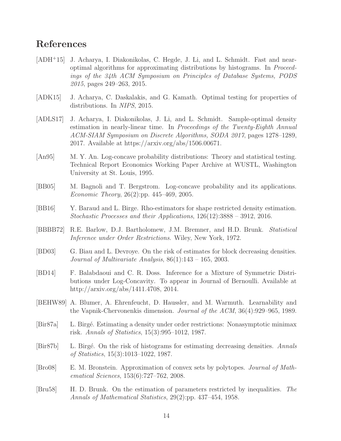### References

- <span id="page-13-12"></span>[ADH<sup>+</sup>15] J. Acharya, I. Diakonikolas, C. Hegde, J. Li, and L. Schmidt. Fast and nearoptimal algorithms for approximating distributions by histograms. In Proceedings of the 34th ACM Symposium on Principles of Database Systems, PODS 2015, pages 249–263, 2015.
- <span id="page-13-6"></span>[ADK15] J. Acharya, C. Daskalakis, and G. Kamath. Optimal testing for properties of distributions. In NIPS, 2015.
- <span id="page-13-5"></span>[ADLS17] J. Acharya, I. Diakonikolas, J. Li, and L. Schmidt. Sample-optimal density estimation in nearly-linear time. In Proceedings of the Twenty-Eighth Annual ACM-SIAM Symposium on Discrete Algorithms, SODA 2017, pages 1278–1289, 2017. Available at https://arxiv.org/abs/1506.00671.
- <span id="page-13-3"></span>[An95] M. Y. An. Log-concave probability distributions: Theory and statistical testing. Technical Report Economics Working Paper Archive at WUSTL, Washington University at St. Louis, 1995.
- <span id="page-13-2"></span>[BB05] M. Bagnoli and T. Bergstrom. Log-concave probability and its applications. Economic Theory, 26(2):pp. 445–469, 2005.
- <span id="page-13-7"></span>[BB16] Y. Baraud and L. Birge. Rho-estimators for shape restricted density estimation. Stochastic Processes and their Applications, 126(12):3888 – 3912, 2016.
- <span id="page-13-0"></span>[BBBB72] R.E. Barlow, D.J. Bartholomew, J.M. Bremner, and H.D. Brunk. Statistical Inference under Order Restrictions. Wiley, New York, 1972.
- <span id="page-13-11"></span>[BD03] G. Biau and L. Devroye. On the risk of estimates for block decreasing densities. Journal of Multivariate Analysis,  $86(1):143 - 165$ , 2003.
- <span id="page-13-4"></span>[BD14] F. Balabdaoui and C. R. Doss. Inference for a Mixture of Symmetric Distributions under Log-Concavity. To appear in Journal of Bernoulli. Available at http://arxiv.org/abs/1411.4708, 2014.
- <span id="page-13-1"></span>[BEHW89] A. Blumer, A. Ehrenfeucht, D. Haussler, and M. Warmuth. Learnability and the Vapnik-Chervonenkis dimension. Journal of the ACM, 36(4):929–965, 1989.
- <span id="page-13-9"></span>[Bir87a] L. Birg´e. Estimating a density under order restrictions: Nonasymptotic minimax risk. Annals of Statistics, 15(3):995–1012, 1987.
- <span id="page-13-10"></span>[Bir87b] L. Birgé. On the risk of histograms for estimating decreasing densities. Annals of Statistics, 15(3):1013–1022, 1987.
- <span id="page-13-13"></span>[Bro08] E. M. Bronstein. Approximation of convex sets by polytopes. Journal of Mathematical Sciences, 153(6):727–762, 2008.
- <span id="page-13-8"></span>[Bru58] H. D. Brunk. On the estimation of parameters restricted by inequalities. The Annals of Mathematical Statistics, 29(2):pp. 437–454, 1958.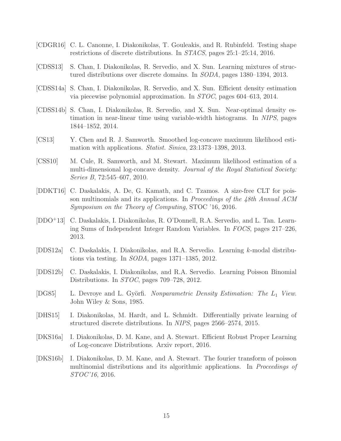- <span id="page-14-5"></span>[CDGR16] C. L. Canonne, I. Diakonikolas, T. Gouleakis, and R. Rubinfeld. Testing shape restrictions of discrete distributions. In STACS, pages 25:1–25:14, 2016.
- <span id="page-14-3"></span>[CDSS13] S. Chan, I. Diakonikolas, R. Servedio, and X. Sun. Learning mixtures of structured distributions over discrete domains. In SODA, pages 1380–1394, 2013.
- <span id="page-14-4"></span>[CDSS14a] S. Chan, I. Diakonikolas, R. Servedio, and X. Sun. Efficient density estimation via piecewise polynomial approximation. In STOC, pages 604–613, 2014.
- <span id="page-14-10"></span>[CDSS14b] S. Chan, I. Diakonikolas, R. Servedio, and X. Sun. Near-optimal density estimation in near-linear time using variable-width histograms. In NIPS, pages 1844–1852, 2014.
- <span id="page-14-2"></span>[CS13] Y. Chen and R. J. Samworth. Smoothed log-concave maximum likelihood estimation with applications. Statist. Sinica, 23:1373–1398, 2013.
- <span id="page-14-1"></span>[CSS10] M. Cule, R. Samworth, and M. Stewart. Maximum likelihood estimation of a multi-dimensional log-concave density. Journal of the Royal Statistical Society: Series B, 72:545–607, 2010.
- <span id="page-14-12"></span>[DDKT16] C. Daskalakis, A. De, G. Kamath, and C. Tzamos. A size-free CLT for poisson multinomials and its applications. In Proceedings of the 48th Annual ACM Symposium on the Theory of Computing, STOC '16, 2016.
- <span id="page-14-9"></span>[DDO<sup>+</sup>13] C. Daskalakis, I. Diakonikolas, R. O'Donnell, R.A. Servedio, and L. Tan. Learning Sums of Independent Integer Random Variables. In FOCS, pages 217–226, 2013.
- <span id="page-14-7"></span>[DDS12a] C. Daskalakis, I. Diakonikolas, and R.A. Servedio. Learning k-modal distributions via testing. In SODA, pages 1371–1385, 2012.
- <span id="page-14-8"></span>[DDS12b] C. Daskalakis, I. Diakonikolas, and R.A. Servedio. Learning Poisson Binomial Distributions. In *STOC*, pages 709–728, 2012.
- <span id="page-14-0"></span>[DG85] L. Devroye and L. Györfi. Nonparametric Density Estimation: The  $L_1$  View. John Wiley & Sons, 1985.
- <span id="page-14-11"></span>[DHS15] I. Diakonikolas, M. Hardt, and L. Schmidt. Differentially private learning of structured discrete distributions. In NIPS, pages 2566–2574, 2015.
- <span id="page-14-6"></span>[DKS16a] I. Diakonikolas, D. M. Kane, and A. Stewart. Efficient Robust Proper Learning of Log-concave Distributions. Arxiv report, 2016.
- <span id="page-14-13"></span>[DKS16b] I. Diakonikolas, D. M. Kane, and A. Stewart. The fourier transform of poisson multinomial distributions and its algorithmic applications. In Proceedings of STOC'16, 2016.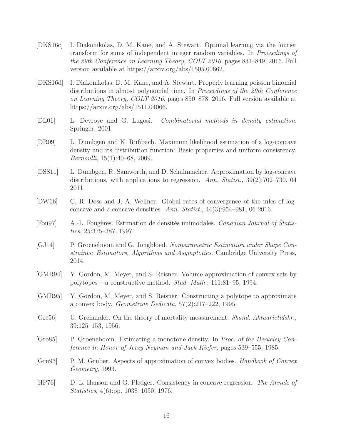- <span id="page-15-1"></span>[DKS16c] I. Diakonikolas, D. M. Kane, and A. Stewart. Optimal learning via the fourier transform for sums of independent integer random variables. In Proceedings of the 29th Conference on Learning Theory, COLT 2016, pages 831–849, 2016. Full version available at https://arxiv.org/abs/1505.00662.
- <span id="page-15-10"></span>[DKS16d] I. Diakonikolas, D. M. Kane, and A. Stewart. Properly learning poisson binomial distributions in almost polynomial time. In Proceedings of the 29th Conference on Learning Theory, COLT 2016, pages 850–878, 2016. Full version available at https://arxiv.org/abs/1511.04066.
- <span id="page-15-0"></span>[DL01] L. Devroye and G. Lugosi. Combinatorial methods in density estimation. Springer, 2001.
- <span id="page-15-2"></span>[DR09] L. Dumbgen and K. Rufibach. Maximum likelihood estimation of a log-concave density and its distribution function: Basic properties and uniform consistency. Bernoulli, 15(1):40–68, 2009.
- <span id="page-15-4"></span>[DSS11] L. Dumbgen, R. Samworth, and D. Schuhmacher. Approximation by log-concave distributions, with applications to regression. Ann. Statist.,  $39(2)$ :702–730, 04 2011.
- <span id="page-15-3"></span>[DW16] C. R. Doss and J. A. Wellner. Global rates of convergence of the mles of logconcave and s-concave densities. Ann. Statist., 44(3):954–981, 06 2016.
- <span id="page-15-9"></span>[Fou97] A.-L. Fougères. Estimation de densités unimodales. Canadian Journal of Statistics, 25:375–387, 1997.
- <span id="page-15-6"></span>[GJ14] P. Groeneboom and G. Jongbloed. Nonparametric Estimation under Shape Constraints: Estimators, Algorithms and Asymptotics. Cambridge University Press, 2014.
- <span id="page-15-12"></span>[GMR94] Y. Gordon, M. Meyer, and S. Reisner. Volume approximation of convex sets by polytopes – a constructive method. Stud. Math., 111:81–95, 1994.
- <span id="page-15-13"></span>[GMR95] Y. Gordon, M. Meyer, and S. Reisner. Constructing a polytope to approximate a convex body. Geometriae Dedicata, 57(2):217–222, 1995.
- <span id="page-15-5"></span>[Gre56] U. Grenander. On the theory of mortality measurement. *Skand. Aktuarietidskr.*, 39:125–153, 1956.
- <span id="page-15-8"></span>[Gro85] P. Groeneboom. Estimating a monotone density. In Proc. of the Berkeley Conference in Honor of Jerzy Neyman and Jack Kiefer, pages 539–555, 1985.
- <span id="page-15-11"></span>[Gru93] P. M. Gruber. Aspects of approximation of convex bodies. Handbook of Convex Geometry, 1993.
- <span id="page-15-7"></span>[HP76] D. L. Hanson and G. Pledger. Consistency in concave regression. The Annals of Statistics, 4(6):pp. 1038–1050, 1976.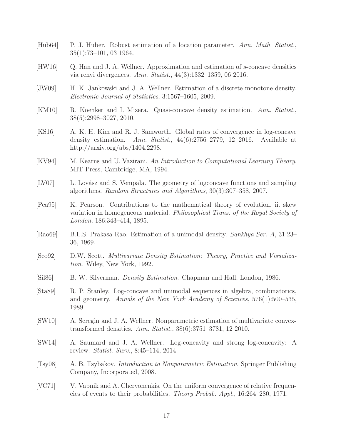- <span id="page-16-10"></span>[Hub64] P. J. Huber. Robust estimation of a location parameter. Ann. Math. Statist., 35(1):73–101, 03 1964.
- <span id="page-16-9"></span>[HW16] Q. Han and J. A. Wellner. Approximation and estimation of s-concave densities via renyi divergences. Ann. Statist., 44(3):1332–1359, 06 2016.
- <span id="page-16-13"></span>[JW09] H. K. Jankowski and J. A. Wellner. Estimation of a discrete monotone density. Electronic Journal of Statistics, 3:1567–1605, 2009.
- <span id="page-16-15"></span>[KM10] R. Koenker and I. Mizera. Quasi-concave density estimation. Ann. Statist., 38(5):2998–3027, 2010.
- <span id="page-16-8"></span>[KS16] A. K. H. Kim and R. J. Samworth. Global rates of convergence in log-concave density estimation. Ann. Statist., 44(6):2756–2779, 12 2016. Available at http://arxiv.org/abs/1404.2298.
- <span id="page-16-3"></span>[KV94] M. Kearns and U. Vazirani. An Introduction to Computational Learning Theory. MIT Press, Cambridge, MA, 1994.
- <span id="page-16-6"></span>[LV07] L. Lovász and S. Vempala. The geometry of logconcave functions and sampling algorithms. Random Structures and Algorithms, 30(3):307–358, 2007.
- <span id="page-16-0"></span>[Pea95] K. Pearson. Contributions to the mathematical theory of evolution. ii. skew variation in homogeneous material. Philosophical Trans. of the Royal Society of London, 186:343–414, 1895.
- <span id="page-16-12"></span>[Rao69] B.L.S. Prakasa Rao. Estimation of a unimodal density. Sankhya Ser. A, 31:23– 36, 1969.
- <span id="page-16-2"></span>[Sco92] D.W. Scott. Multivariate Density Estimation: Theory, Practice and Visualization. Wiley, New York, 1992.
- <span id="page-16-1"></span>[Sil86] B. W. Silverman. Density Estimation. Chapman and Hall, London, 1986.
- <span id="page-16-7"></span>[Sta89] R. P. Stanley. Log-concave and unimodal sequences in algebra, combinatorics, and geometry. Annals of the New York Academy of Sciences, 576(1):500–535, 1989.
- <span id="page-16-14"></span>[SW10] A. Seregin and J. A. Wellner. Nonparametric estimation of multivariate convextransformed densities. Ann. Statist., 38(6):3751–3781, 12 2010.
- <span id="page-16-5"></span>[SW14] A. Saumard and J. A. Wellner. Log-concavity and strong log-concavity: A review. Statist. Surv., 8:45–114, 2014.
- <span id="page-16-4"></span>[Tsy08] A. B. Tsybakov. Introduction to Nonparametric Estimation. Springer Publishing Company, Incorporated, 2008.
- <span id="page-16-11"></span>[VC71] V. Vapnik and A. Chervonenkis. On the uniform convergence of relative frequencies of events to their probabilities. Theory Probab. Appl., 16:264–280, 1971.